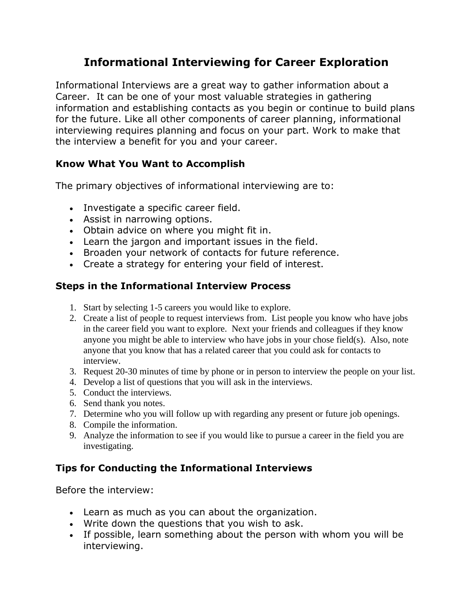# **Informational Interviewing for Career Exploration**

Informational Interviews are a great way to gather information about a Career. It can be one of your most valuable strategies in gathering information and establishing contacts as you begin or continue to build plans for the future. Like all other components of career planning, informational interviewing requires planning and focus on your part. Work to make that the interview a benefit for you and your career.

# **Know What You Want to Accomplish**

The primary objectives of informational interviewing are to:

- Investigate a specific career field.
- Assist in narrowing options.
- Obtain advice on where you might fit in.
- Learn the jargon and important issues in the field.
- Broaden your network of contacts for future reference.
- Create a strategy for entering your field of interest.

# **Steps in the Informational Interview Process**

- 1. Start by selecting 1-5 careers you would like to explore.
- 2. Create a list of people to request interviews from. List people you know who have jobs in the career field you want to explore. Next your friends and colleagues if they know anyone you might be able to interview who have jobs in your chose field(s). Also, note anyone that you know that has a related career that you could ask for contacts to interview.
- 3. Request 20-30 minutes of time by phone or in person to interview the people on your list.
- 4. Develop a list of questions that you will ask in the interviews.
- 5. Conduct the interviews.
- 6. Send thank you notes.
- 7. Determine who you will follow up with regarding any present or future job openings.
- 8. Compile the information.
- 9. Analyze the information to see if you would like to pursue a career in the field you are investigating.

### **Tips for Conducting the Informational Interviews**

Before the interview:

- Learn as much as you can about the organization.
- Write down the questions that you wish to ask.
- If possible, learn something about the person with whom you will be interviewing.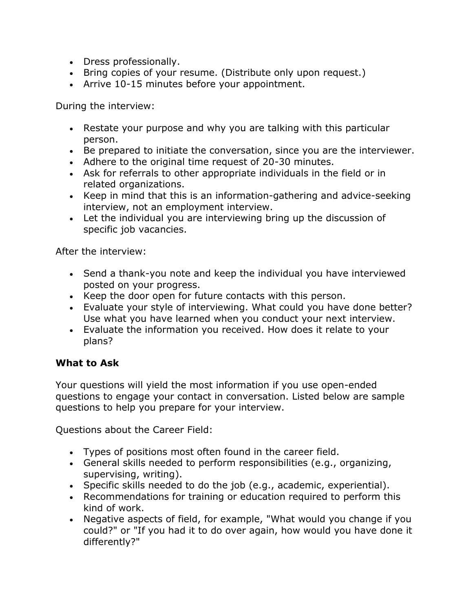- Dress professionally.
- Bring copies of your resume. (Distribute only upon request.)
- Arrive 10-15 minutes before your appointment.

During the interview:

- Restate your purpose and why you are talking with this particular person.
- Be prepared to initiate the conversation, since you are the interviewer.
- Adhere to the original time request of 20-30 minutes.
- Ask for referrals to other appropriate individuals in the field or in related organizations.
- Keep in mind that this is an information-gathering and advice-seeking interview, not an employment interview.
- Let the individual you are interviewing bring up the discussion of specific job vacancies.

After the interview:

- Send a thank-you note and keep the individual you have interviewed posted on your progress.
- Keep the door open for future contacts with this person.
- Evaluate your style of interviewing. What could you have done better? Use what you have learned when you conduct your next interview.
- Evaluate the information you received. How does it relate to your plans?

### **What to Ask**

Your questions will yield the most information if you use open-ended questions to engage your contact in conversation. Listed below are sample questions to help you prepare for your interview.

Questions about the Career Field:

- Types of positions most often found in the career field.
- General skills needed to perform responsibilities (e.g., organizing, supervising, writing).
- Specific skills needed to do the job (e.g., academic, experiential).
- Recommendations for training or education required to perform this kind of work.
- Negative aspects of field, for example, "What would you change if you could?" or "If you had it to do over again, how would you have done it differently?"